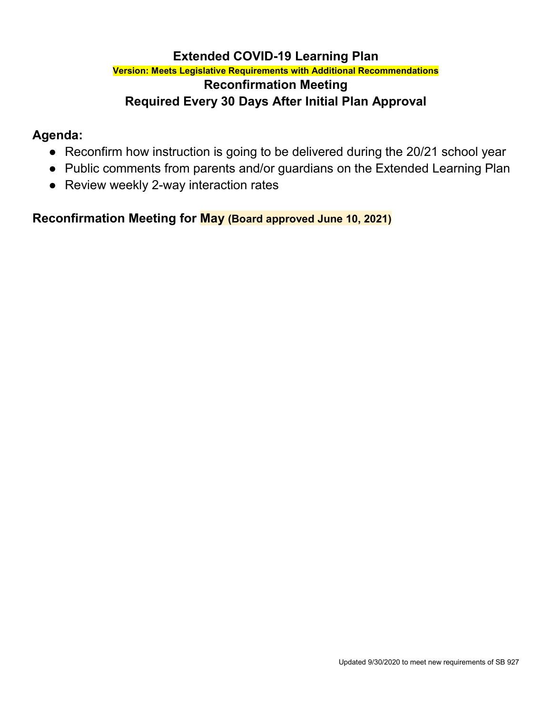# **Extended COVID-19 Learning Plan**

### **Version: Meets Legislative Requirements with Additional Recommendations Reconfirmation Meeting Required Every 30 Days After Initial Plan Approval**

# **Agenda:**

- Reconfirm how instruction is going to be delivered during the 20/21 school year
- Public comments from parents and/or guardians on the Extended Learning Plan
- Review weekly 2-way interaction rates

**Reconfirmation Meeting for May (Board approved June 10, 2021)**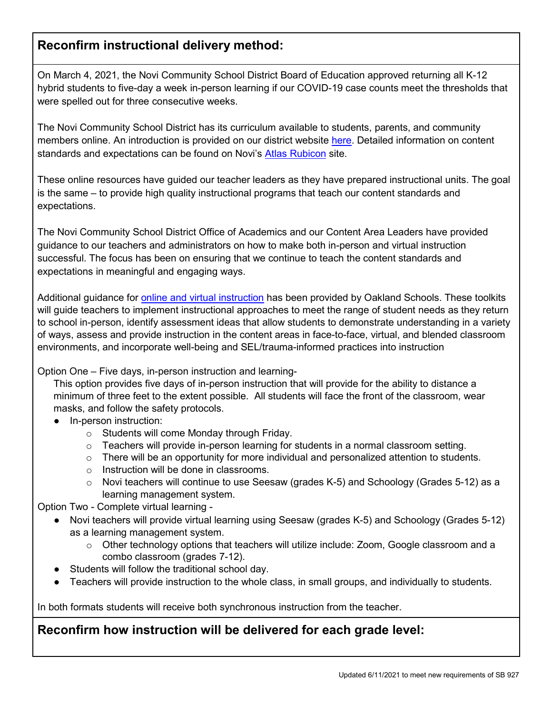# **Reconfirm instructional delivery method:**

On March 4, 2021, the Novi Community School District Board of Education approved returning all K-12 hybrid students to five-day a week in-person learning if our COVID-19 case counts meet the thresholds that were spelled out for three consecutive weeks.

The Novi Community School District has its curriculum available to students, parents, and community members online. An introduction is provided on our district website [here.](https://www.novi.k12.mi.us/academics/atlascurriculum-information) Detailed information on content standards and expectations can be found on Novi's [Atlas Rubicon](https://novik12-oakland-public.rubiconatlas.org/Atlas/Public/View/Default) site.

These online resources have guided our teacher leaders as they have prepared instructional units. The goal is the same – to provide high quality instructional programs that teach our content standards and expectations.

The Novi Community School District Office of Academics and our Content Area Leaders have provided guidance to our teachers and administrators on how to make both in-person and virtual instruction successful. The focus has been on ensuring that we continue to teach the content standards and expectations in meaningful and engaging ways.

Additional guidance for [online and virtual instruction](https://docs.google.com/document/d/1CtCqzVV6DceKhac3iWpMnEvUI9J6c3qDE0v61uO59Dk/edit) has been provided by Oakland Schools. These toolkits will guide teachers to implement instructional approaches to meet the range of student needs as they return to school in-person, identify assessment ideas that allow students to demonstrate understanding in a variety of ways, assess and provide instruction in the content areas in face-to-face, virtual, and blended classroom environments, and incorporate well-being and SEL/trauma-informed practices into instruction

#### Option One – Five days, in-person instruction and learning-

This option provides five days of in-person instruction that will provide for the ability to distance a minimum of three feet to the extent possible. All students will face the front of the classroom, wear masks, and follow the safety protocols.

- In-person instruction:
	- o Students will come Monday through Friday.
	- o Teachers will provide in-person learning for students in a normal classroom setting.
	- $\circ$  There will be an opportunity for more individual and personalized attention to students.
	- o Instruction will be done in classrooms.
	- $\circ$  Novi teachers will continue to use Seesaw (grades K-5) and Schoology (Grades 5-12) as a learning management system.

Option Two - Complete virtual learning -

- Novi teachers will provide virtual learning using Seesaw (grades K-5) and Schoology (Grades 5-12) as a learning management system.
	- o Other technology options that teachers will utilize include: Zoom, Google classroom and a combo classroom (grades 7-12).
- Students will follow the traditional school day.
- Teachers will provide instruction to the whole class, in small groups, and individually to students.

In both formats students will receive both synchronous instruction from the teacher.

# **Reconfirm how instruction will be delivered for each grade level:**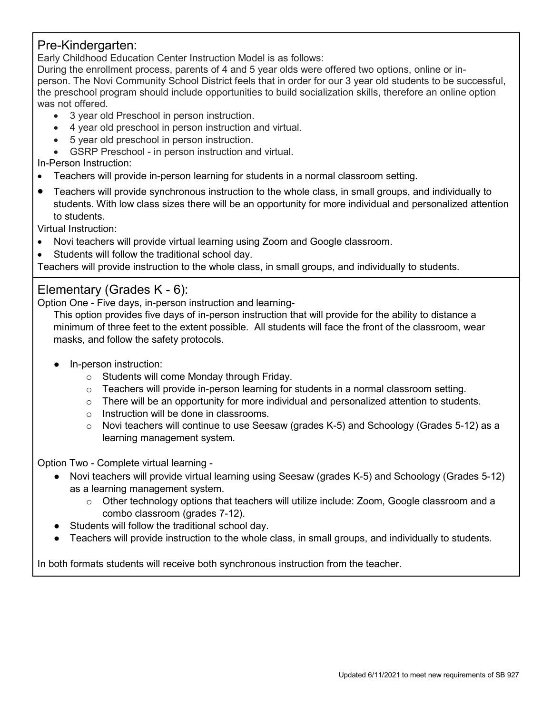#### Pre-Kindergarten:

Early Childhood Education Center Instruction Model is as follows:

During the enrollment process, parents of 4 and 5 year olds were offered two options, online or inperson. The Novi Community School District feels that in order for our 3 year old students to be successful, the preschool program should include opportunities to build socialization skills, therefore an online option was not offered.

- 3 year old Preschool in person instruction.
- 4 year old preschool in person instruction and virtual.
- 5 year old preschool in person instruction.
- GSRP Preschool in person instruction and virtual.

In-Person Instruction:

- Teachers will provide in-person learning for students in a normal classroom setting.
- Teachers will provide synchronous instruction to the whole class, in small groups, and individually to students. With low class sizes there will be an opportunity for more individual and personalized attention to students.

Virtual Instruction:

- Novi teachers will provide virtual learning using Zoom and Google classroom.
- Students will follow the traditional school day.

Teachers will provide instruction to the whole class, in small groups, and individually to students.

### Elementary (Grades K - 6):

Option One - Five days, in-person instruction and learning-

This option provides five days of in-person instruction that will provide for the ability to distance a minimum of three feet to the extent possible. All students will face the front of the classroom, wear masks, and follow the safety protocols.

- In-person instruction:
	- o Students will come Monday through Friday.
	- $\circ$  Teachers will provide in-person learning for students in a normal classroom setting.
	- $\circ$  There will be an opportunity for more individual and personalized attention to students.
	- o Instruction will be done in classrooms.
	- $\circ$  Novi teachers will continue to use Seesaw (grades K-5) and Schoology (Grades 5-12) as a learning management system.

Option Two - Complete virtual learning -

- Novi teachers will provide virtual learning using Seesaw (grades K-5) and Schoology (Grades 5-12) as a learning management system.
	- $\circ$  Other technology options that teachers will utilize include: Zoom, Google classroom and a combo classroom (grades 7-12).
- Students will follow the traditional school day.
- Teachers will provide instruction to the whole class, in small groups, and individually to students.

In both formats students will receive both synchronous instruction from the teacher.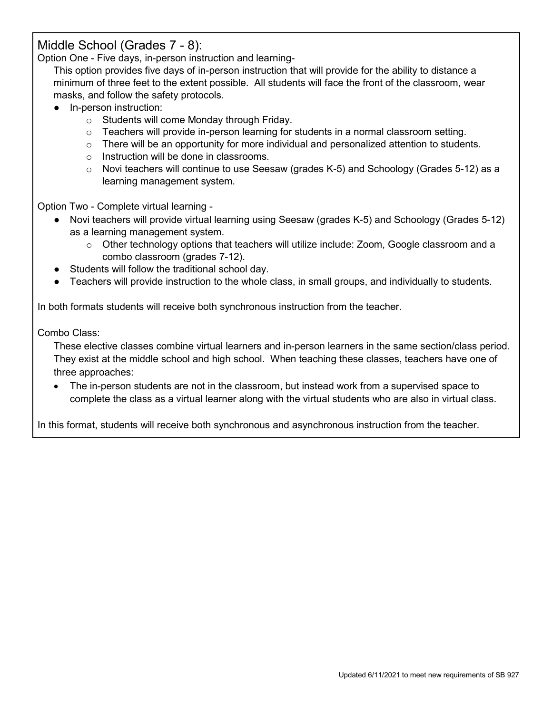#### Middle School (Grades 7 - 8):

Option One - Five days, in-person instruction and learning-

This option provides five days of in-person instruction that will provide for the ability to distance a minimum of three feet to the extent possible. All students will face the front of the classroom, wear masks, and follow the safety protocols.

- In-person instruction:
	- o Students will come Monday through Friday.
	- $\circ$  Teachers will provide in-person learning for students in a normal classroom setting.
	- $\circ$  There will be an opportunity for more individual and personalized attention to students.
	- o Instruction will be done in classrooms.
	- $\circ$  Novi teachers will continue to use Seesaw (grades K-5) and Schoology (Grades 5-12) as a learning management system.

Option Two - Complete virtual learning -

- Novi teachers will provide virtual learning using Seesaw (grades K-5) and Schoology (Grades 5-12) as a learning management system.
	- $\circ$  Other technology options that teachers will utilize include: Zoom, Google classroom and a combo classroom (grades 7-12).
- Students will follow the traditional school day.
- Teachers will provide instruction to the whole class, in small groups, and individually to students.

In both formats students will receive both synchronous instruction from the teacher.

Combo Class:

These elective classes combine virtual learners and in-person learners in the same section/class period. They exist at the middle school and high school. When teaching these classes, teachers have one of three approaches:

• The in-person students are not in the classroom, but instead work from a supervised space to complete the class as a virtual learner along with the virtual students who are also in virtual class.

In this format, students will receive both synchronous and asynchronous instruction from the teacher.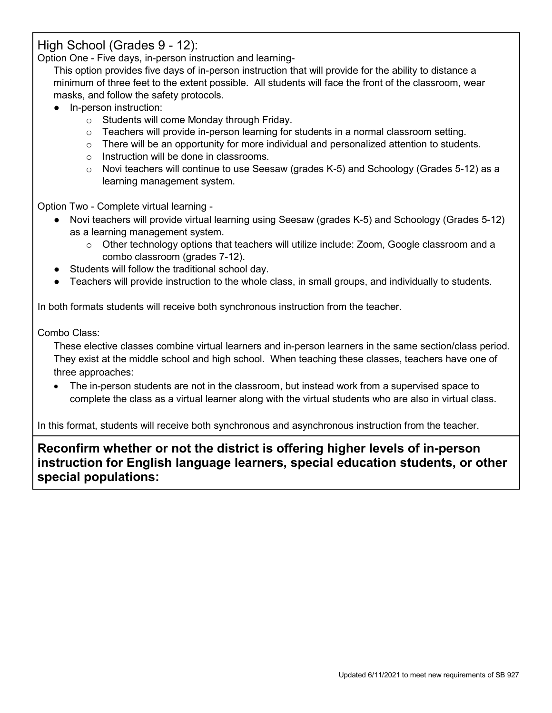## High School (Grades 9 - 12):

Option One - Five days, in-person instruction and learning-

This option provides five days of in-person instruction that will provide for the ability to distance a minimum of three feet to the extent possible. All students will face the front of the classroom, wear masks, and follow the safety protocols.

- In-person instruction:
	- o Students will come Monday through Friday.
	- $\circ$  Teachers will provide in-person learning for students in a normal classroom setting.
	- $\circ$  There will be an opportunity for more individual and personalized attention to students.
	- o Instruction will be done in classrooms.
	- $\circ$  Novi teachers will continue to use Seesaw (grades K-5) and Schoology (Grades 5-12) as a learning management system.

Option Two - Complete virtual learning -

- Novi teachers will provide virtual learning using Seesaw (grades K-5) and Schoology (Grades 5-12) as a learning management system.
	- $\circ$  Other technology options that teachers will utilize include: Zoom, Google classroom and a combo classroom (grades 7-12).
- Students will follow the traditional school day.
- Teachers will provide instruction to the whole class, in small groups, and individually to students.

In both formats students will receive both synchronous instruction from the teacher.

Combo Class:

These elective classes combine virtual learners and in-person learners in the same section/class period. They exist at the middle school and high school. When teaching these classes, teachers have one of three approaches:

• The in-person students are not in the classroom, but instead work from a supervised space to complete the class as a virtual learner along with the virtual students who are also in virtual class.

In this format, students will receive both synchronous and asynchronous instruction from the teacher.

**Reconfirm whether or not the district is offering higher levels of in-person instruction for English language learners, special education students, or other special populations:**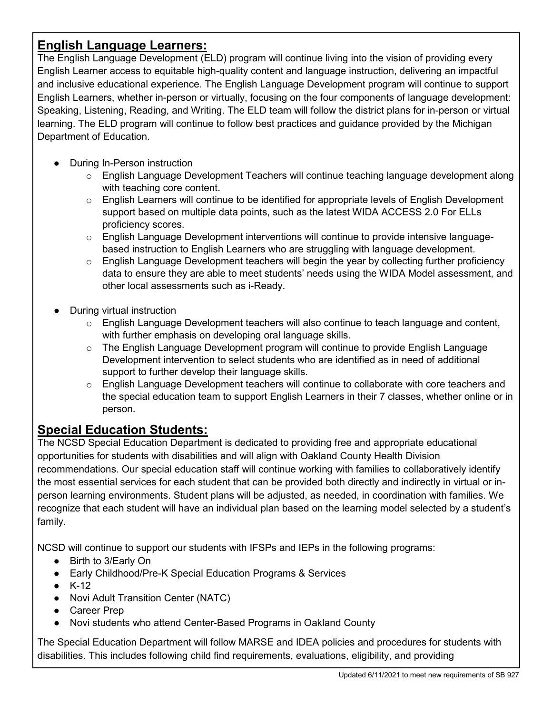# **English Language Learners:**

The English Language Development (ELD) program will continue living into the vision of providing every English Learner access to equitable high-quality content and language instruction, delivering an impactful and inclusive educational experience. The English Language Development program will continue to support English Learners, whether in-person or virtually, focusing on the four components of language development: Speaking, Listening, Reading, and Writing. The ELD team will follow the district plans for in-person or virtual learning. The ELD program will continue to follow best practices and guidance provided by the Michigan Department of Education.

- During In-Person instruction
	- $\circ$  English Language Development Teachers will continue teaching language development along with teaching core content.
	- $\circ$  English Learners will continue to be identified for appropriate levels of English Development support based on multiple data points, such as the latest WIDA ACCESS 2.0 For ELLs proficiency scores.
	- $\circ$  English Language Development interventions will continue to provide intensive languagebased instruction to English Learners who are struggling with language development.
	- $\circ$  English Language Development teachers will begin the year by collecting further proficiency data to ensure they are able to meet students' needs using the WIDA Model assessment, and other local assessments such as i-Ready.
- During virtual instruction
	- $\circ$  English Language Development teachers will also continue to teach language and content, with further emphasis on developing oral language skills.
	- $\circ$  The English Language Development program will continue to provide English Language Development intervention to select students who are identified as in need of additional support to further develop their language skills.
	- $\circ$  English Language Development teachers will continue to collaborate with core teachers and the special education team to support English Learners in their 7 classes, whether online or in person.

# **Special Education Students:**

The NCSD Special Education Department is dedicated to providing free and appropriate educational opportunities for students with disabilities and will align with Oakland County Health Division recommendations. Our special education staff will continue working with families to collaboratively identify the most essential services for each student that can be provided both directly and indirectly in virtual or inperson learning environments. Student plans will be adjusted, as needed, in coordination with families. We recognize that each student will have an individual plan based on the learning model selected by a student's family.

NCSD will continue to support our students with IFSPs and IEPs in the following programs:

- Birth to 3/Early On
- Early Childhood/Pre-K Special Education Programs & Services
- $\bullet$  K-12
- Novi Adult Transition Center (NATC)
- Career Prep
- Novi students who attend Center-Based Programs in Oakland County

The Special Education Department will follow MARSE and IDEA policies and procedures for students with disabilities. This includes following child find requirements, evaluations, eligibility, and providing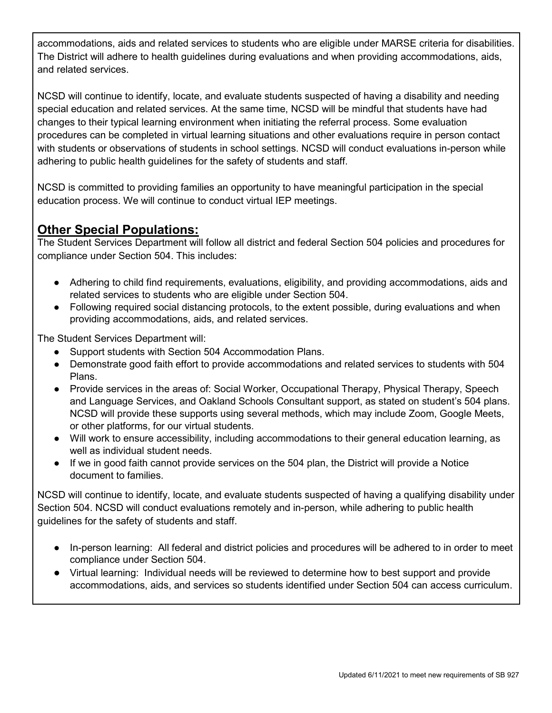accommodations, aids and related services to students who are eligible under MARSE criteria for disabilities. The District will adhere to health guidelines during evaluations and when providing accommodations, aids, and related services.

NCSD will continue to identify, locate, and evaluate students suspected of having a disability and needing special education and related services. At the same time, NCSD will be mindful that students have had changes to their typical learning environment when initiating the referral process. Some evaluation procedures can be completed in virtual learning situations and other evaluations require in person contact with students or observations of students in school settings. NCSD will conduct evaluations in-person while adhering to public health guidelines for the safety of students and staff.

NCSD is committed to providing families an opportunity to have meaningful participation in the special education process. We will continue to conduct virtual IEP meetings.

# **Other Special Populations:**

The Student Services Department will follow all district and federal Section 504 policies and procedures for compliance under Section 504. This includes:

- Adhering to child find requirements, evaluations, eligibility, and providing accommodations, aids and related services to students who are eligible under Section 504.
- Following required social distancing protocols, to the extent possible, during evaluations and when providing accommodations, aids, and related services.

The Student Services Department will:

- Support students with Section 504 Accommodation Plans.
- Demonstrate good faith effort to provide accommodations and related services to students with 504 Plans.
- Provide services in the areas of: Social Worker, Occupational Therapy, Physical Therapy, Speech and Language Services, and Oakland Schools Consultant support, as stated on student's 504 plans. NCSD will provide these supports using several methods, which may include Zoom, Google Meets, or other platforms, for our virtual students.
- Will work to ensure accessibility, including accommodations to their general education learning, as well as individual student needs.
- If we in good faith cannot provide services on the 504 plan, the District will provide a Notice document to families.

NCSD will continue to identify, locate, and evaluate students suspected of having a qualifying disability under Section 504. NCSD will conduct evaluations remotely and in-person, while adhering to public health guidelines for the safety of students and staff.

- In-person learning: All federal and district policies and procedures will be adhered to in order to meet compliance under Section 504.
- Virtual learning: Individual needs will be reviewed to determine how to best support and provide accommodations, aids, and services so students identified under Section 504 can access curriculum.